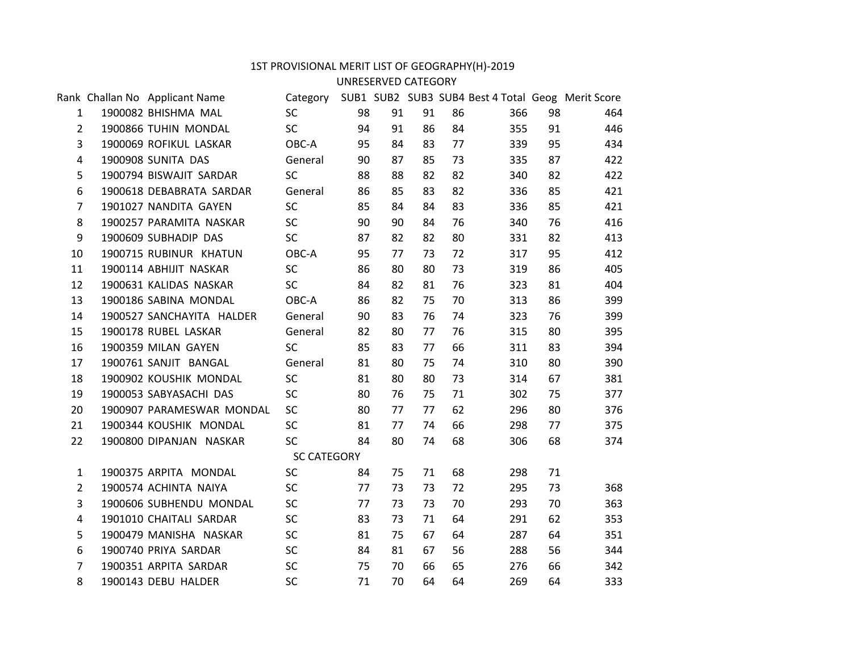## 1ST PROVISIONAL MERIT LIST OF GEOGRAPHY(H)-2019

## UNRESERVED CATEGORY

|                | Rank Challan No Applicant Name |                    |    |    |    |    | Category SUB1 SUB2 SUB3 SUB4 Best 4 Total Geog Merit Score |    |     |  |
|----------------|--------------------------------|--------------------|----|----|----|----|------------------------------------------------------------|----|-----|--|
| $\mathbf{1}$   | 1900082 BHISHMA MAL            | <b>SC</b>          | 98 | 91 | 91 | 86 | 366                                                        | 98 | 464 |  |
| $\overline{2}$ | 1900866 TUHIN MONDAL           | <b>SC</b>          | 94 | 91 | 86 | 84 | 355                                                        | 91 | 446 |  |
| 3              | 1900069 ROFIKUL LASKAR         | OBC-A              | 95 | 84 | 83 | 77 | 339                                                        | 95 | 434 |  |
| 4              | 1900908 SUNITA DAS             | General            | 90 | 87 | 85 | 73 | 335                                                        | 87 | 422 |  |
| 5              | 1900794 BISWAJIT SARDAR        | <b>SC</b>          | 88 | 88 | 82 | 82 | 340                                                        | 82 | 422 |  |
| 6              | 1900618 DEBABRATA SARDAR       | General            | 86 | 85 | 83 | 82 | 336                                                        | 85 | 421 |  |
| $\overline{7}$ | 1901027 NANDITA GAYEN          | <b>SC</b>          | 85 | 84 | 84 | 83 | 336                                                        | 85 | 421 |  |
| 8              | 1900257 PARAMITA NASKAR        | SC                 | 90 | 90 | 84 | 76 | 340                                                        | 76 | 416 |  |
| 9              | 1900609 SUBHADIP DAS           | SC                 | 87 | 82 | 82 | 80 | 331                                                        | 82 | 413 |  |
| 10             | 1900715 RUBINUR KHATUN         | OBC-A              | 95 | 77 | 73 | 72 | 317                                                        | 95 | 412 |  |
| 11             | 1900114 ABHIJIT NASKAR         | SC                 | 86 | 80 | 80 | 73 | 319                                                        | 86 | 405 |  |
| 12             | 1900631 KALIDAS NASKAR         | <b>SC</b>          | 84 | 82 | 81 | 76 | 323                                                        | 81 | 404 |  |
| 13             | 1900186 SABINA MONDAL          | OBC-A              | 86 | 82 | 75 | 70 | 313                                                        | 86 | 399 |  |
| 14             | 1900527 SANCHAYITA HALDER      | General            | 90 | 83 | 76 | 74 | 323                                                        | 76 | 399 |  |
| 15             | 1900178 RUBEL LASKAR           | General            | 82 | 80 | 77 | 76 | 315                                                        | 80 | 395 |  |
| 16             | 1900359 MILAN GAYEN            | <b>SC</b>          | 85 | 83 | 77 | 66 | 311                                                        | 83 | 394 |  |
| 17             | 1900761 SANJIT BANGAL          | General            | 81 | 80 | 75 | 74 | 310                                                        | 80 | 390 |  |
| 18             | 1900902 KOUSHIK MONDAL         | <b>SC</b>          | 81 | 80 | 80 | 73 | 314                                                        | 67 | 381 |  |
| 19             | 1900053 SABYASACHI DAS         | SC                 | 80 | 76 | 75 | 71 | 302                                                        | 75 | 377 |  |
| 20             | 1900907 PARAMESWAR MONDAL      | <b>SC</b>          | 80 | 77 | 77 | 62 | 296                                                        | 80 | 376 |  |
| 21             | 1900344 KOUSHIK MONDAL         | <b>SC</b>          | 81 | 77 | 74 | 66 | 298                                                        | 77 | 375 |  |
| 22             | 1900800 DIPANJAN NASKAR        | <b>SC</b>          | 84 | 80 | 74 | 68 | 306                                                        | 68 | 374 |  |
|                |                                | <b>SC CATEGORY</b> |    |    |    |    |                                                            |    |     |  |
| $\mathbf{1}$   | 1900375 ARPITA MONDAL          | <b>SC</b>          | 84 | 75 | 71 | 68 | 298                                                        | 71 |     |  |
| $2^{\circ}$    | 1900574 ACHINTA NAIYA          | <b>SC</b>          | 77 | 73 | 73 | 72 | 295                                                        | 73 | 368 |  |
| 3              | 1900606 SUBHENDU MONDAL        | <b>SC</b>          | 77 | 73 | 73 | 70 | 293                                                        | 70 | 363 |  |
| 4              | 1901010 CHAITALI SARDAR        | <b>SC</b>          | 83 | 73 | 71 | 64 | 291                                                        | 62 | 353 |  |
| 5              | 1900479 MANISHA NASKAR         | <b>SC</b>          | 81 | 75 | 67 | 64 | 287                                                        | 64 | 351 |  |
| 6              | 1900740 PRIYA SARDAR           | <b>SC</b>          | 84 | 81 | 67 | 56 | 288                                                        | 56 | 344 |  |
| 7              | 1900351 ARPITA SARDAR          | <b>SC</b>          | 75 | 70 | 66 | 65 | 276                                                        | 66 | 342 |  |
| 8              | 1900143 DEBU HALDER            | <b>SC</b>          | 71 | 70 | 64 | 64 | 269                                                        | 64 | 333 |  |